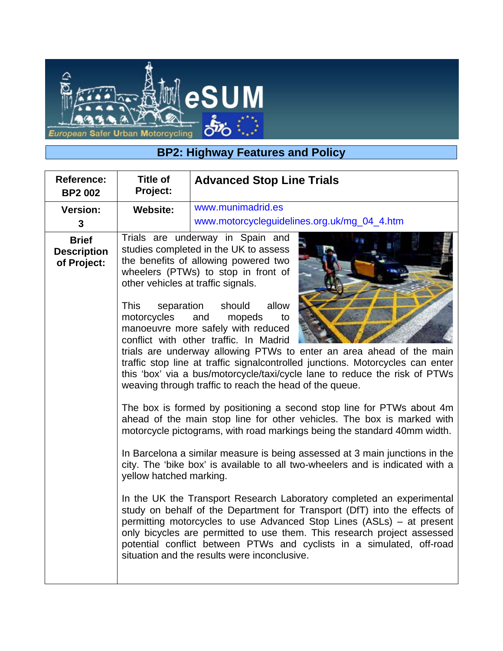

## **BP2: Highway Features and Policy**

| Reference:<br><b>BP2 002</b>                      | <b>Title of</b><br>Project:                                                                               | <b>Advanced Stop Line Trials</b>                                                                                                                                                                                                                                                                                                                                                                                                                                                                                                                                                                                                                                                                                                                                                                                                                                                                                                                                                                                                                                                                                                                                                                                                                                                                                                                                                                                        |
|---------------------------------------------------|-----------------------------------------------------------------------------------------------------------|-------------------------------------------------------------------------------------------------------------------------------------------------------------------------------------------------------------------------------------------------------------------------------------------------------------------------------------------------------------------------------------------------------------------------------------------------------------------------------------------------------------------------------------------------------------------------------------------------------------------------------------------------------------------------------------------------------------------------------------------------------------------------------------------------------------------------------------------------------------------------------------------------------------------------------------------------------------------------------------------------------------------------------------------------------------------------------------------------------------------------------------------------------------------------------------------------------------------------------------------------------------------------------------------------------------------------------------------------------------------------------------------------------------------------|
| <b>Version:</b><br>3                              | <b>Website:</b>                                                                                           | www.munimadrid.es<br>www.motorcycleguidelines.org.uk/mg_04_4.htm                                                                                                                                                                                                                                                                                                                                                                                                                                                                                                                                                                                                                                                                                                                                                                                                                                                                                                                                                                                                                                                                                                                                                                                                                                                                                                                                                        |
| <b>Brief</b><br><b>Description</b><br>of Project: | other vehicles at traffic signals.<br><b>This</b><br>separation<br>motorcycles<br>yellow hatched marking. | Trials are underway in Spain and<br>studies completed in the UK to assess<br>the benefits of allowing powered two<br>wheelers (PTWs) to stop in front of<br>allow<br>should<br>and<br>mopeds<br>to<br>manoeuvre more safely with reduced<br>conflict with other traffic. In Madrid<br>trials are underway allowing PTWs to enter an area ahead of the main<br>traffic stop line at traffic signalcontrolled junctions. Motorcycles can enter<br>this 'box' via a bus/motorcycle/taxi/cycle lane to reduce the risk of PTWs<br>weaving through traffic to reach the head of the queue.<br>The box is formed by positioning a second stop line for PTWs about 4m<br>ahead of the main stop line for other vehicles. The box is marked with<br>motorcycle pictograms, with road markings being the standard 40mm width.<br>In Barcelona a similar measure is being assessed at 3 main junctions in the<br>city. The 'bike box' is available to all two-wheelers and is indicated with a<br>In the UK the Transport Research Laboratory completed an experimental<br>study on behalf of the Department for Transport (DfT) into the effects of<br>permitting motorcycles to use Advanced Stop Lines (ASLs) - at present<br>only bicycles are permitted to use them. This research project assessed<br>potential conflict between PTWs and cyclists in a simulated, off-road<br>situation and the results were inconclusive. |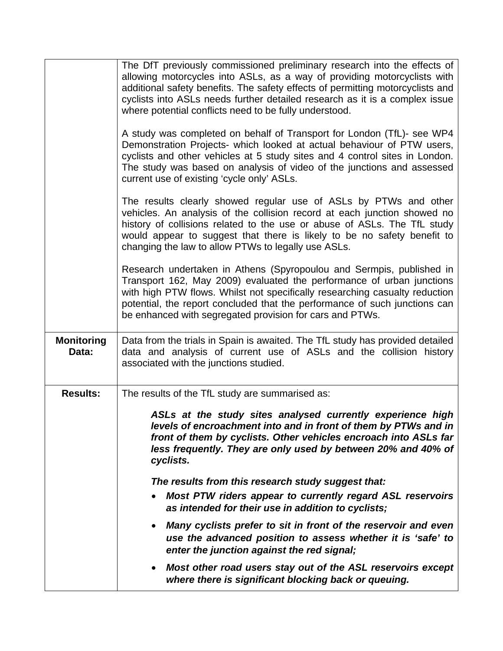|                   | The DfT previously commissioned preliminary research into the effects of<br>allowing motorcycles into ASLs, as a way of providing motorcyclists with<br>additional safety benefits. The safety effects of permitting motorcyclists and<br>cyclists into ASLs needs further detailed research as it is a complex issue<br>where potential conflicts need to be fully understood.<br>A study was completed on behalf of Transport for London (TfL)- see WP4<br>Demonstration Projects- which looked at actual behaviour of PTW users,<br>cyclists and other vehicles at 5 study sites and 4 control sites in London. |
|-------------------|--------------------------------------------------------------------------------------------------------------------------------------------------------------------------------------------------------------------------------------------------------------------------------------------------------------------------------------------------------------------------------------------------------------------------------------------------------------------------------------------------------------------------------------------------------------------------------------------------------------------|
|                   | The study was based on analysis of video of the junctions and assessed<br>current use of existing 'cycle only' ASLs.                                                                                                                                                                                                                                                                                                                                                                                                                                                                                               |
|                   | The results clearly showed regular use of ASLs by PTWs and other<br>vehicles. An analysis of the collision record at each junction showed no<br>history of collisions related to the use or abuse of ASLs. The TfL study<br>would appear to suggest that there is likely to be no safety benefit to<br>changing the law to allow PTWs to legally use ASLs.                                                                                                                                                                                                                                                         |
|                   | Research undertaken in Athens (Spyropoulou and Sermpis, published in<br>Transport 162, May 2009) evaluated the performance of urban junctions<br>with high PTW flows. Whilst not specifically researching casualty reduction<br>potential, the report concluded that the performance of such junctions can<br>be enhanced with segregated provision for cars and PTWs.                                                                                                                                                                                                                                             |
| <b>Monitoring</b> | Data from the trials in Spain is awaited. The TfL study has provided detailed                                                                                                                                                                                                                                                                                                                                                                                                                                                                                                                                      |
| Data:             | data and analysis of current use of ASLs and the collision history<br>associated with the junctions studied.                                                                                                                                                                                                                                                                                                                                                                                                                                                                                                       |
| <b>Results:</b>   | The results of the TfL study are summarised as:<br>ASLs at the study sites analysed currently experience high<br>levels of encroachment into and in front of them by PTWs and in<br>front of them by cyclists. Other vehicles encroach into ASLs far<br>less frequently. They are only used by between 20% and 40% of<br>cyclists.                                                                                                                                                                                                                                                                                 |
|                   | The results from this research study suggest that:<br>Most PTW riders appear to currently regard ASL reservoirs<br>as intended for their use in addition to cyclists;                                                                                                                                                                                                                                                                                                                                                                                                                                              |
|                   | Many cyclists prefer to sit in front of the reservoir and even<br>$\bullet$<br>use the advanced position to assess whether it is 'safe' to<br>enter the junction against the red signal;                                                                                                                                                                                                                                                                                                                                                                                                                           |